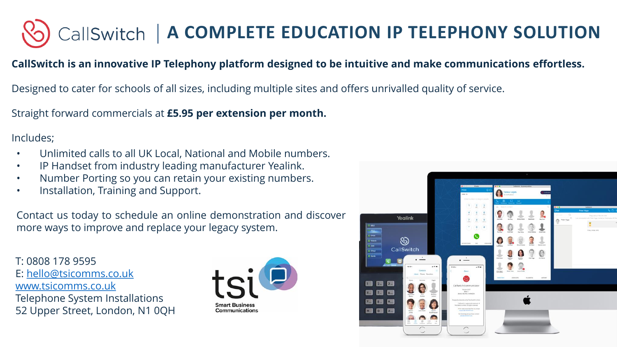

## **CallSwitch is an innovative IP Telephony platform designed to be intuitive and make communications effortless.**

Designed to cater for schools of all sizes, including multiple sites and offers unrivalled quality of service.

Straight forward commercials at **£5.95 per extension per month.**

## Includes;

- Unlimited calls to all UK Local, National and Mobile numbers.
- IP Handset from industry leading manufacturer Yealink.
- Number Porting so you can retain your existing numbers.
- Installation, Training and Support.

Contact us today to schedule an online demonstration and discover more ways to improve and replace your legacy system.

T: 0808 178 9595 E: [hello@tsicomms.co.uk](mailto:hello@tsicomms.co.uk) [www.tsicomms.co.uk](http://www.tsicomms.co.uk/) Telephone System Installations 52 Upper Street, London, N1 0QH



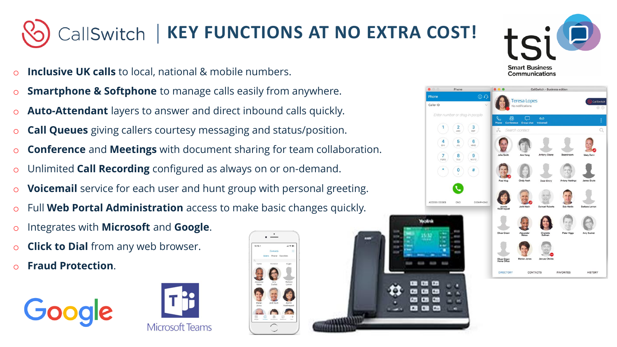## CallSwitch | KEY FUNCTIONS AT NO EXTRA COST!

- o **Inclusive UK calls** to local, national & mobile numbers.
- o **Smartphone & Softphone** to manage calls easily from anywhere.
- o **Auto-Attendant** layers to answer and direct inbound calls quickly.
- o **Call Queues** giving callers courtesy messaging and status/position.
- o **Conference** and **Meetings** with document sharing for team collaboration.
- o Unlimited **Call Recording** configured as always on or on-demand.
- o **Voicemail** service for each user and hunt group with personal greeting.
- Full **Web Portal Administration** access to make basic changes quickly.
- o Integrates with **Microsoft** and **Google**.
- **Click to Dial** from any web browser.
- o **Fraud Protection**.











**FAVORITE** 

**HISTORY** 

 $\odot$ 

 $\frac{3}{\pi}$ 

 $6 \n m$ 

Jasmin<br>Koothranna

DIRECTOR

Caller ID

Enter number or drag-in neopli